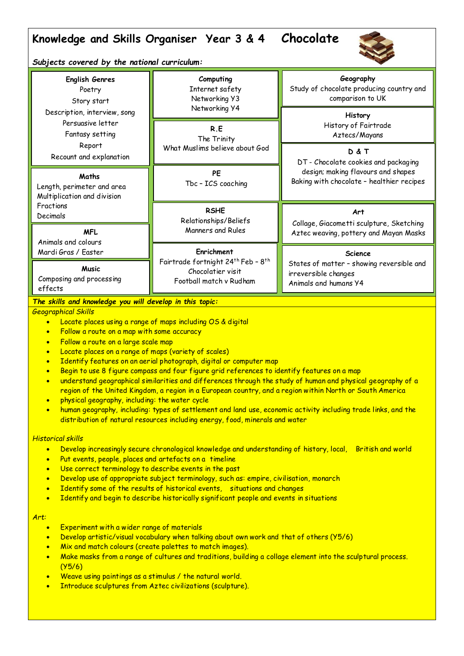# **Knowledge and Skills Organiser Year 3 & 4 Chocolate**



*Subjects covered by the national curriculum:*

| <b>English Genres</b><br>Poetry<br>Story start<br>Description, interview, song<br>Persuasive letter<br>Fantasy setting | Computing<br>Internet safety<br>Networking Y3<br>Networking Y4<br>R.E<br>The Trinity<br>What Muslims believe about God | Geography<br>Study of chocolate producing country and<br>comparison to UK                  |
|------------------------------------------------------------------------------------------------------------------------|------------------------------------------------------------------------------------------------------------------------|--------------------------------------------------------------------------------------------|
|                                                                                                                        |                                                                                                                        | <b>History</b><br>History of Fairtrade<br>Aztecs/Mayans                                    |
| Report<br>Recount and explanation                                                                                      |                                                                                                                        | D & T<br>DT - Chocolate cookies and packaging                                              |
| Maths<br>Length, perimeter and area<br>Multiplication and division                                                     | <b>PE</b><br>Tbc - ICS coaching                                                                                        | design; making flavours and shapes<br>Baking with chocolate - healthier recipes            |
| Fractions<br>Decimals                                                                                                  | <b>RSHE</b><br>Relationships/Beliefs                                                                                   | Art                                                                                        |
| <b>MFL</b><br>Animals and colours                                                                                      | Manners and Rules                                                                                                      | Collage, Giacometti sculpture, Sketching<br>Aztec weaving, pottery and Mayan Masks         |
| Mardi Gras / Easter                                                                                                    | Enrichment                                                                                                             | <b>Science</b>                                                                             |
| <b>Music</b><br>Composing and processing<br>effects                                                                    | Fairtrade fortnight 24 <sup>th</sup> Feb - 8 <sup>th</sup><br>Chocolatier visit<br>Football match v Rudham             | States of matter - showing reversible and<br>irreversible changes<br>Animals and humans Y4 |

*The skills and knowledge you will develop in this topic:*

## *Geographical Skills*

- Locate places using a range of maps including OS & digital
- Follow a route on a map with some accuracy
- **•** Follow a route on a large scale map
- Locate places on a range of maps (variety of scales)
- Identify features on an aerial photograph, digital or computer map
- Begin to use 8 figure compass and four figure grid references to identify features on a map
- understand geographical similarities and differences through the study of human and physical geography of a region of the United Kingdom, a region in a European country, and a region within North or South America
- physical geography, including: the water cycle
- human geography, including: types of settlement and land use, economic activity including trade links, and the distribution of natural resources including energy, food, minerals and water

### *Historical skills*

- Develop increasingly secure chronological knowledge and understanding of history, local, British and world
- Put events, people, places and artefacts on a timeline
- Use correct terminology to describe events in the past
- Develop use of appropriate subject terminology, such as: empire, civilisation, monarch
- Identify some of the results of historical events, situations and changes
- Identify and begin to describe historically significant people and events in situations

### *Art:*

- **Experiment with a wider range of materials**
- Develop artistic/visual vocabulary when talking about own work and that of others (Y5/6)
- Mix and match colours (create palettes to match images).
- Make masks from a range of cultures and traditions, building a collage element into the sculptural process. (Y5/6)
- Weave using paintings as a stimulus / the natural world.
- Introduce sculptures from Aztec civilizations (sculpture).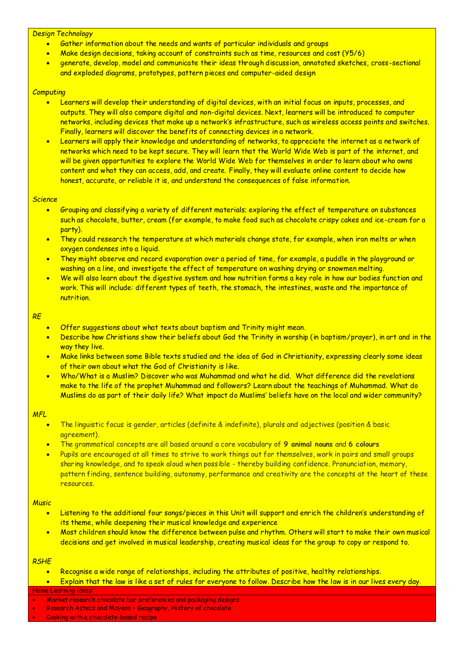#### *Design Technology*

- Gather information about the needs and wants of particular individuals and groups
- Make design decisions, taking account of constraints such as time, resources and cost (Y5/6)
- generate, develop, model and communicate their ideas through discussion, annotated sketches, cross-sectional and exploded diagrams, prototypes, pattern pieces and computer-aided design

## *Computing*

- Learners will develop their understanding of digital devices, with an initial focus on inputs, processes, and outputs. They will also compare digital and non-digital devices. Next, learners will be introduced to computer networks, including devices that make up a network's infrastructure, such as wireless access points and switches. Finally, learners will discover the benefits of connecting devices in a network.
- Learners will apply their knowledge and understanding of networks, to appreciate the internet as a network of networks which need to be kept secure. They will learn that the World Wide Web is part of the internet, and will be given opportunities to explore the World Wide Web for themselves in order to learn about who owns content and what they can access, add, and create. Finally, they will evaluate online content to decide how honest, accurate, or reliable it is, and understand the consequences of false information.

#### *Science*

- Grouping and classifying a variety of different materials; exploring the effect of temperature on substances such as chocolate, butter, cream (for example, to make food such as chocolate crispy cakes and ice-cream for a party).
- They could research the temperature at which materials change state, for example, when iron melts or when oxygen condenses into a liquid.
- They might observe and record evaporation over a period of time, for example, a puddle in the playground or washing on a line, and investigate the effect of temperature on washing drying or snowmen melting.
- We will also learn about the digestive system and how nutrition forms a key role in how our bodies function and work. This will include: different types of teeth, the stomach, the intestines, waste and the importance of nutrition.

#### *RE*

- Offer suggestions about what texts about baptism and Trinity might mean.
- Describe how Christians show their beliefs about God the Trinity in worship (in baptism/prayer), in art and in the way they live.
- Make links between some Bible texts studied and the idea of God in Christianity, expressing clearly some ideas of their own about what the God of Christianity is like.
- Who/What is a Muslim? Discover who was Muhammad and what he did. What difference did the revelations make to the life of the prophet Muhammad and followers? Learn about the teachings of Muhammad. What do Muslims do as part of their daily life? What impact do Muslims' beliefs have on the local and wider community?

#### *MFL*

- The linguistic focus is gender, articles (definite & indefinite), plurals and adjectives (position & basic agreement).
- The grammatical concepts are all based around a core vocabulary of **9 animal nouns** and **6 colours**
- Pupils are encouraged at all times to strive to work things out for themselves, work in pairs and small groups sharing knowledge, and to speak aloud when possible - thereby building confidence. Pronunciation, memory, pattern finding, sentence building, autonomy, performance and creativity are the concepts at the heart of these resources.

#### *Music*

- Listening to the additional four songs/pieces in this Unit will support and enrich the children's understanding of its theme, while deepening their musical knowledge and experience
- Most children should know the difference between pulse and rhythm. Others will start to make their own musical decisions and get involved in musical leadership, creating musical ideas for the group to copy or respond to.

#### *RSHE*

- Recognise a wide range of relationships, including the attributes of positive, healthy relationships.
- Explain that the law is like a set of rules for everyone to follow. Describe how the law is in our lives every day.

#### Home Learning ideas:

- Market research chocolate bar preferences and packaging designs
- Research Aztecs and Mayans Geography, History of chocolate
- Cooking with a chocolate-based recipe